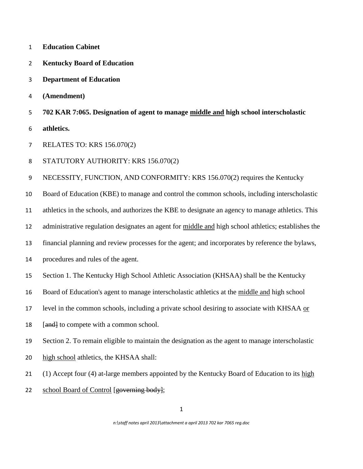- **Education Cabinet**
- **Kentucky Board of Education**
- **Department of Education**
- **(Amendment)**
- **702 KAR 7:065. Designation of agent to manage middle and high school interscholastic**
- **athletics.**
- RELATES TO: KRS 156.070(2)
- STATUTORY AUTHORITY: KRS 156.070(2)

NECESSITY, FUNCTION, AND CONFORMITY: KRS 156.070(2) requires the Kentucky

Board of Education (KBE) to manage and control the common schools, including interscholastic

athletics in the schools, and authorizes the KBE to designate an agency to manage athletics. This

- administrative regulation designates an agent for middle and high school athletics; establishes the
- financial planning and review processes for the agent; and incorporates by reference the bylaws,
- procedures and rules of the agent.
- Section 1. The Kentucky High School Athletic Association (KHSAA) shall be the Kentucky
- Board of Education's agent to manage interscholastic athletics at the middle and high school
- level in the common schools, including a private school desiring to associate with KHSAA or
- 18 [and] to compete with a common school.
- Section 2. To remain eligible to maintain the designation as the agent to manage interscholastic
- high school athletics, the KHSAA shall:
- 21 (1) Accept four (4) at-large members appointed by the Kentucky Board of Education to its high
- 22 school Board of Control [governing body];

*n:\staff notes april 2013\attachment a april 2013 702 kar 7065 reg.doc*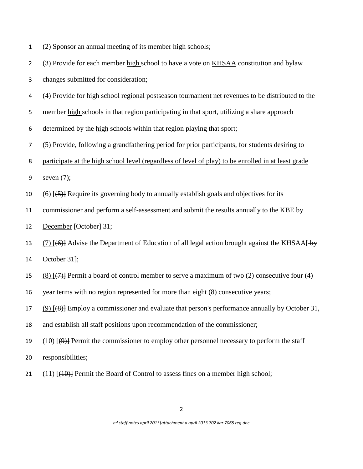| (2) Sponsor an annual meeting of its member high schools; |  |
|-----------------------------------------------------------|--|
|-----------------------------------------------------------|--|

- (3) Provide for each member high school to have a vote on KHSAA constitution and bylaw
- changes submitted for consideration;
- (4) Provide for high school regional postseason tournament net revenues to be distributed to the
- member high schools in that region participating in that sport, utilizing a share approach
- determined by the high schools within that region playing that sport;
- (5) Provide, following a grandfathering period for prior participants, for students desiring to
- participate at the high school level (regardless of level of play) to be enrolled in at least grade
- seven (7);
- 10 (6)  $[4, 5]$  Require its governing body to annually establish goals and objectives for its
- commissioner and perform a self-assessment and submit the results annually to the KBE by
- 12 December [<del>October</del>] 31;
- 13 (7)  $[(6)]$  Advise the Department of Education of all legal action brought against the KHSAA[ $\rightarrow$ y October 31];
- 15 (8)  $(7)$  Permit a board of control member to serve a maximum of two (2) consecutive four (4)
- year terms with no region represented for more than eight (8) consecutive years;
- (9) [(8)] Employ a commissioner and evaluate that person's performance annually by October 31,
- and establish all staff positions upon recommendation of the commissioner;
- 19 (10)  $[\Theta]$  Permit the commissioner to employ other personnel necessary to perform the staff
- responsibilities;
- 21  $(11)$   $(10)$ } Permit the Board of Control to assess fines on a member high school;

*n:\staff notes april 2013\attachment a april 2013 702 kar 7065 reg.doc*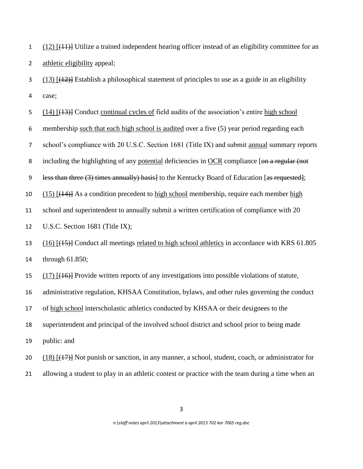(12) [(11)] Utilize a trained independent hearing officer instead of an eligibility committee for an athletic eligibility appeal;

 (13) [ $(12)$ ] Establish a philosophical statement of principles to use as a guide in an eligibility case;

(14) [(13)] Conduct continual cycles of field audits of the association's entire high school

membership such that each high school is audited over a five (5) year period regarding each

school's compliance with 20 U.S.C. Section 1681 (Title IX) and submit annual summary reports

8 including the highlighting of any potential deficiencies in OCR compliance [on a regular (not

9 less than three (3) times annually) basis to the Kentucky Board of Education [as requested];

10 (15)  $\left[\frac{(14)}{8}\right]$  As a condition precedent to high school membership, require each member high

school and superintendent to annually submit a written certification of compliance with 20

U.S.C. Section 1681 (Title IX);

 (16) [(15)] Conduct all meetings related to high school athletics in accordance with KRS 61.805 through 61.850;

(17) [(16)] Provide written reports of any investigations into possible violations of statute,

administrative regulation, KHSAA Constitution, bylaws, and other rules governing the conduct

of high school interscholastic athletics conducted by KHSAA or their designees to the

superintendent and principal of the involved school district and school prior to being made

public: and

20 (18)  $[$ (17)] Not punish or sanction, in any manner, a school, student, coach, or administrator for

allowing a student to play in an athletic contest or practice with the team during a time when an

*n:\staff notes april 2013\attachment a april 2013 702 kar 7065 reg.doc*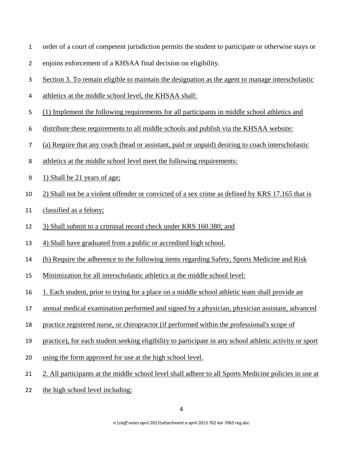- order of a court of competent jurisdiction permits the student to participate or otherwise stays or
- enjoins enforcement of a KHSAA final decision on eligibility.
- Section 3. To remain eligible to maintain the designation as the agent to manage interscholastic
- athletics at the middle school level, the KHSAA shall:
- (1) Implement the following requirements for all participants in middle school athletics and
- distribute these requirements to all middle schools and publish via the KHSAA website:
- (a) Require that any coach (head or assistant, paid or unpaid) desiring to coach interscholastic
- athletics at the middle school level meet the following requirements:
- 1) Shall be 21 years of age;
- 2) Shall not be a violent offender or convicted of a sex crime as defined by KRS 17.165 that is
- classified as a felony;
- 3) Shall submit to a criminal record check under KRS 160.380; and
- 4) Shall have graduated from a public or accredited high school.
- (b) Require the adherence to the following items regarding Safety, Sports Medicine and Risk
- Minimization for all interscholastic athletics at the middle school level:
- 1. Each student, prior to trying for a place on a middle school athletic team shall provide an
- annual medical examination performed and signed by a physician, physician assistant, advanced
- practice registered nurse, or chiropractor (if performed within the professional's scope of
- practice), for each student seeking eligibility to participate in any school athletic activity or sport
- using the form approved for use at the high school level.
- 2. All participants at the middle school level shall adhere to all Sports Medicine policies in use at
- the high school level including:

*n:\staff notes april 2013\attachment a april 2013 702 kar 7065 reg.doc*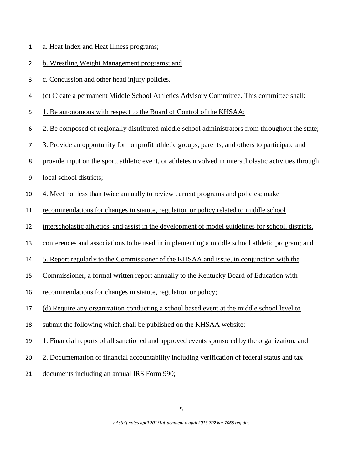- a. Heat Index and Heat Illness programs;
- b. Wrestling Weight Management programs; and
- c. Concussion and other head injury policies.
- (c) Create a permanent Middle School Athletics Advisory Committee. This committee shall:
- 1. Be autonomous with respect to the Board of Control of the KHSAA;
- 2. Be composed of regionally distributed middle school administrators from throughout the state;
- 3. Provide an opportunity for nonprofit athletic groups, parents, and others to participate and
- provide input on the sport, athletic event, or athletes involved in interscholastic activities through
- local school districts;
- 4. Meet not less than twice annually to review current programs and policies; make
- recommendations for changes in statute, regulation or policy related to middle school
- interscholastic athletics, and assist in the development of model guidelines for school, districts,
- conferences and associations to be used in implementing a middle school athletic program; and
- 5. Report regularly to the Commissioner of the KHSAA and issue, in conjunction with the
- Commissioner, a formal written report annually to the Kentucky Board of Education with
- recommendations for changes in statute, regulation or policy;
- (d) Require any organization conducting a school based event at the middle school level to
- submit the following which shall be published on the KHSAA website:
- 1. Financial reports of all sanctioned and approved events sponsored by the organization; and
- 2. Documentation of financial accountability including verification of federal status and tax
- documents including an annual IRS Form 990;

*n:\staff notes april 2013\attachment a april 2013 702 kar 7065 reg.doc*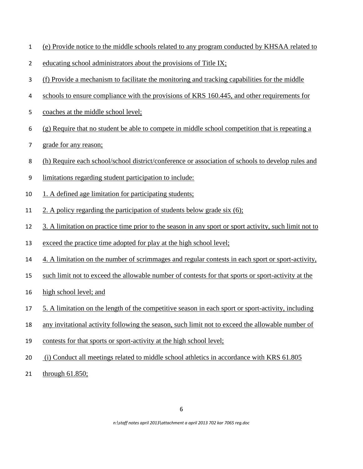| (e) Provide notice to the middle schools related to any program conducted by KHSAA related to |
|-----------------------------------------------------------------------------------------------|
|-----------------------------------------------------------------------------------------------|

- 2 educating school administrators about the provisions of Title IX;
- (f) Provide a mechanism to facilitate the monitoring and tracking capabilities for the middle
- schools to ensure compliance with the provisions of KRS 160.445, and other requirements for
- coaches at the middle school level;
- (g) Require that no student be able to compete in middle school competition that is repeating a
- grade for any reason;
- (h) Require each school/school district/conference or association of schools to develop rules and
- limitations regarding student participation to include:
- 10 1. A defined age limitation for participating students;
- 2. A policy regarding the participation of students below grade six (6);
- 3. A limitation on practice time prior to the season in any sport or sport activity, such limit not to
- exceed the practice time adopted for play at the high school level;
- 4. A limitation on the number of scrimmages and regular contests in each sport or sport-activity,
- such limit not to exceed the allowable number of contests for that sports or sport-activity at the
- high school level; and
- 5. A limitation on the length of the competitive season in each sport or sport-activity, including
- any invitational activity following the season, such limit not to exceed the allowable number of
- 19 contests for that sports or sport-activity at the high school level;
- (i) Conduct all meetings related to middle school athletics in accordance with KRS 61.805
- 21 through 61.850;

*n:\staff notes april 2013\attachment a april 2013 702 kar 7065 reg.doc*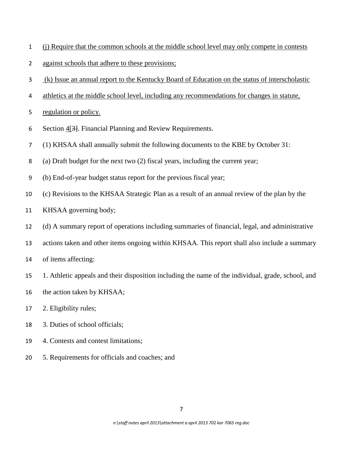- (j) Require that the common schools at the middle school level may only compete in contests
- against schools that adhere to these provisions;
- (k) Issue an annual report to the Kentucky Board of Education on the status of interscholastic
- 4 athletics at the middle school level, including any recommendations for changes in statute,
- regulation or policy.
- Section 4[3]. Financial Planning and Review Requirements.
- (1) KHSAA shall annually submit the following documents to the KBE by October 31:
- (a) Draft budget for the next two (2) fiscal years, including the current year;
- (b) End-of-year budget status report for the previous fiscal year;
- (c) Revisions to the KHSAA Strategic Plan as a result of an annual review of the plan by the
- KHSAA governing body;
- (d) A summary report of operations including summaries of financial, legal, and administrative
- actions taken and other items ongoing within KHSAA. This report shall also include a summary
- of items affecting:
- 1. Athletic appeals and their disposition including the name of the individual, grade, school, and
- the action taken by KHSAA;
- 2. Eligibility rules;
- 3. Duties of school officials;
- 4. Contests and contest limitations;
- 5. Requirements for officials and coaches; and

*n:\staff notes april 2013\attachment a april 2013 702 kar 7065 reg.doc*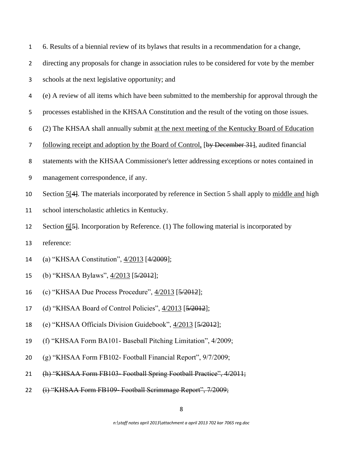|  |  |  |  |  | 6. Results of a biennial review of its bylaws that results in a recommendation for a change, |
|--|--|--|--|--|----------------------------------------------------------------------------------------------|
|--|--|--|--|--|----------------------------------------------------------------------------------------------|

directing any proposals for change in association rules to be considered for vote by the member

- schools at the next legislative opportunity; and
- (e) A review of all items which have been submitted to the membership for approval through the
- processes established in the KHSAA Constitution and the result of the voting on those issues.
- (2) The KHSAA shall annually submit at the next meeting of the Kentucky Board of Education
- 7 following receipt and adoption by the Board of Control, [by December 31], audited financial
- statements with the KHSAA Commissioner's letter addressing exceptions or notes contained in
- management correspondence, if any.
- Section 5[4]. The materials incorporated by reference in Section 5 shall apply to middle and high
- school interscholastic athletics in Kentucky.
- Section 6[5]. Incorporation by Reference. (1) The following material is incorporated by
- reference:
- (a) "KHSAA Constitution", 4/2013 [4/2009];
- (b) "KHSAA Bylaws", 4/2013 [5/2012];
- (c) "KHSAA Due Process Procedure", 4/2013 [5/2012];
- (d) "KHSAA Board of Control Policies", 4/2013 [5/2012];
- (e) "KHSAA Officials Division Guidebook", 4/2013 [5/2012];
- (f) "KHSAA Form BA101- Baseball Pitching Limitation", 4/2009;
- (g) "KHSAA Form FB102- Football Financial Report", 9/7/2009;
- (h) "KHSAA Form FB103- Football Spring Football Practice", 4/2011;
- 22 (i) "KHSAA Form FB109- Football Scrimmage Report", 7/2009;

*n:\staff notes april 2013\attachment a april 2013 702 kar 7065 reg.doc*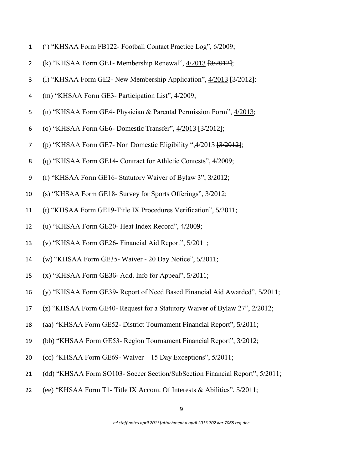- (j) "KHSAA Form FB122- Football Contact Practice Log", 6/2009;
- (k) "KHSAA Form GE1- Membership Renewal", 4/2013 [3/2012];
- 3 (l) "KHSAA Form GE2- New Membership Application", 4/2013 <del>[3/2012]</del>;
- (m) "KHSAA Form GE3- Participation List", 4/2009;
- (n) "KHSAA Form GE4- Physician & Parental Permission Form", 4/2013;
- (o) "KHSAA Form GE6- Domestic Transfer", 4/2013 [3/2012];
- (p) "KHSAA Form GE7- Non Domestic Eligibility ",4/2013 [3/2012];
- (q) "KHSAA Form GE14- Contract for Athletic Contests", 4/2009;
- (r) "KHSAA Form GE16- Statutory Waiver of Bylaw 3", 3/2012;
- (s) "KHSAA Form GE18- Survey for Sports Offerings", 3/2012;
- (t) "KHSAA Form GE19-Title IX Procedures Verification", 5/2011;
- (u) "KHSAA Form GE20- Heat Index Record", 4/2009;
- (v) "KHSAA Form GE26- Financial Aid Report", 5/2011;
- (w) "KHSAA Form GE35- Waiver 20 Day Notice", 5/2011;
- (x) "KHSAA Form GE36- Add. Info for Appeal", 5/2011;
- (y) "KHSAA Form GE39- Report of Need Based Financial Aid Awarded", 5/2011;
- (z) "KHSAA Form GE40- Request for a Statutory Waiver of Bylaw 27", 2/2012;
- (aa) "KHSAA Form GE52- District Tournament Financial Report", 5/2011;
- (bb) "KHSAA Form GE53- Region Tournament Financial Report", 3/2012;
- (cc) "KHSAA Form GE69- Waiver 15 Day Exceptions", 5/2011;
- (dd) "KHSAA Form SO103- Soccer Section/SubSection Financial Report", 5/2011;
- (ee) "KHSAA Form T1- Title IX Accom. Of Interests & Abilities", 5/2011;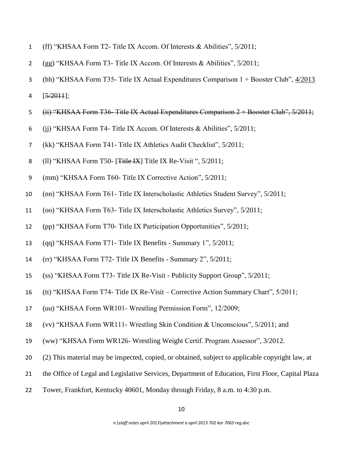- (ff) "KHSAA Form T2- Title IX Accom. Of Interests & Abilities", 5/2011;
- (gg) "KHSAA Form T3- Title IX Accom. Of Interests & Abilities", 5/2011;
- (hh) "KHSAA Form T35- Title IX Actual Expenditures Comparison 1 + Booster Club", 4/2013
- 4  $[5/2011]$ ;
- (ii) "KHSAA Form T36- Title IX Actual Expenditures Comparison 2 + Booster Club", 5/2011;
- (jj) "KHSAA Form T4- Title IX Accom. Of Interests & Abilities", 5/2011;
- (kk) "KHSAA Form T41- Title IX Athletics Audit Checklist", 5/2011;
- 8 (ll) "KHSAA Form T50- [<del>Title IX</del>] Title IX Re-Visit ", 5/2011;
- (mm) "KHSAA Form T60- Title IX Corrective Action", 5/2011;
- (nn) "KHSAA Form T61- Title IX Interscholastic Athletics Student Survey", 5/2011;
- (oo) "KHSAA Form T63- Title IX Interscholastic Athletics Survey", 5/2011;
- (pp) "KHSAA Form T70- Title IX Participation Opportunities", 5/2011;
- (qq) "KHSAA Form T71- Title IX Benefits Summary 1", 5/2011;
- (rr) "KHSAA Form T72- Title IX Benefits Summary 2", 5/2011;
- (ss) "KHSAA Form T73- Title IX Re-Visit Publicity Support Group", 5/2011;
- (tt) "KHSAA Form T74- Title IX Re-Visit Corrective Action Summary Chart", 5/2011;
- (uu) "KHSAA Form WR101- Wrestling Permission Form", 12/2009;
- (vv) "KHSAA Form WR111- Wrestling Skin Condition & Unconscious", 5/2011; and
- (ww) "KHSAA Form WR126- Wrestling Weight Certif. Program Assessor", 3/2012.
- (2) This material may be inspected, copied, or obtained, subject to applicable copyright law, at
- the Office of Legal and Legislative Services, Department of Education, First Floor, Capital Plaza
- Tower, Frankfort, Kentucky 40601, Monday through Friday, 8 a.m. to 4:30 p.m.